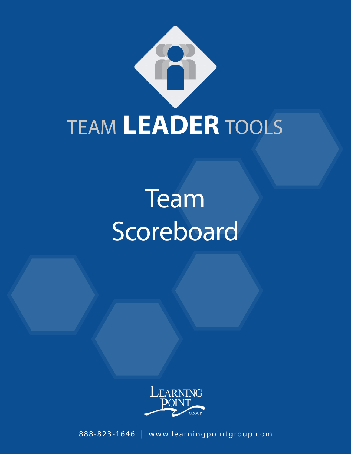

# **Team** Scoreboard



888-823-1646 | www.learningpointgroup.com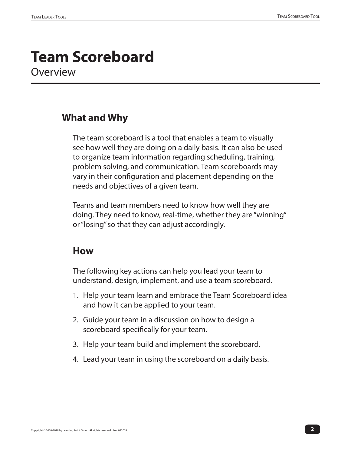### **Team Scoreboard Overview**

#### **What and Why**

The team scoreboard is a tool that enables a team to visually see how well they are doing on a daily basis. It can also be used to organize team information regarding scheduling, training, problem solving, and communication. Team scoreboards may vary in their configuration and placement depending on the needs and objectives of a given team.

Teams and team members need to know how well they are doing. They need to know, real-time, whether they are "winning" or "losing" so that they can adjust accordingly.

#### **How**

The following key actions can help you lead your team to understand, design, implement, and use a team scoreboard.

- 1. Help your team learn and embrace the Team Scoreboard idea and how it can be applied to your team.
- 2. Guide your team in a discussion on how to design a scoreboard specifically for your team.
- 3. Help your team build and implement the scoreboard.
- 4. Lead your team in using the scoreboard on a daily basis.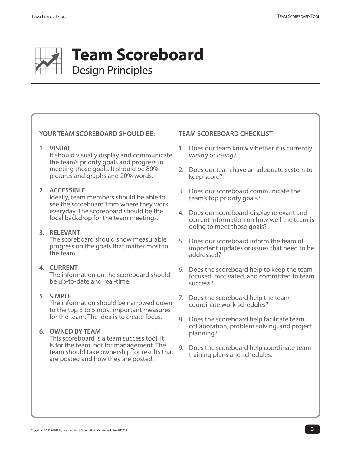

## **Team Scoreboard** Design Principles

#### **YOUR TEAM SCOREBOARD SHOULD BE:**

**1. VISUAL**

It should visually display and communicate the team's priority goals and progress in meeting those goals. It should be 80% pictures and graphs and 20% words.

#### **2. ACCESSIBLE**

Ideally, team members should be able to see the scoreboard from where they work everyday. The scoreboard should be the focal backdrop for the team meetings.

#### **3. RELEVANT**

The scoreboard should show measurable progress on the goals that matter most to the team.

#### **4. CURRENT**

The information on the scoreboard should be up-to-date and real-time.

#### **5. SIMPLE**

The information should be narrowed down to the top 3 to 5 most important measures for the team. The idea is to create focus.

#### **6. OWNED BY TEAM**

This scoreboard is a team success tool. It is for the team, not for management. The team should take ownership for results that are posted and how they are posted.

#### **TEAM SCOREBOARD CHECKLIST**

- 1. Does our team know whether it is currently *wining* or *losing?*
- 2. Does our team have an adequate system to keep score?
- 3. Does our scoreboard communicate the team's top priority goals?
- 4. Does our scoreboard display relevant and current information on how well the team is doing to meet those goals?
- 5. Does our scoreboard inform the team of important updates or issues that need to be addressed?
- 6. Does the scoreboard help to keep the team focused, motivated, and committed to team success?
- 7. Does the scoreboard help the team coordinate work schedules?
- 8. Does the scoreboard help facilitate team collaboration, problem solving, and project planning?
- 9. Does the scoreboard help coordinate team training plans and schedules.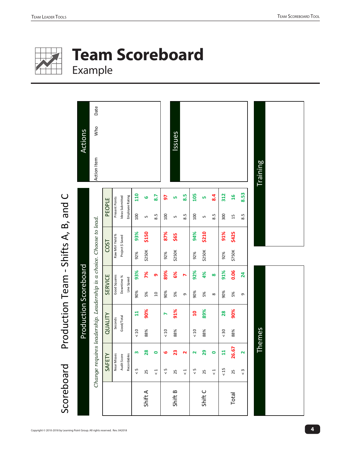

## **Team Scoreboard**  Example

| <b>Team Scoreboard</b><br>Example |                                                                     |                |                                      |                 |                         |         |           |     |           |                      |                |           |           |                |               |                      |                 |
|-----------------------------------|---------------------------------------------------------------------|----------------|--------------------------------------|-----------------|-------------------------|---------|-----------|-----|-----------|----------------------|----------------|-----------|-----------|----------------|---------------|----------------------|-----------------|
| <b>Actions</b>                    | Date<br>Who                                                         |                |                                      |                 |                         |         |           |     | Issues    |                      |                |           |           |                |               |                      |                 |
|                                   | Action Item                                                         |                |                                      |                 |                         |         |           |     |           |                      |                |           |           |                |               |                      | <b>Training</b> |
|                                   |                                                                     | PEOPLE         |                                      |                 | 110                     | 6       | 8.7       | 5   | <b>LN</b> | 8.5                  | 105            | <b>LN</b> | 8.4       | 312            | $\frac{9}{2}$ | 8.53                 |                 |
|                                   |                                                                     |                | Ideas Submitted<br>Present Points    | Employee Rating | 100                     | LŊ      | 8.5       | 100 | LN.       | 8.5                  | 100            | S         | 8.5       | 300            | 15            | 8.5                  |                 |
|                                   | Change requires leadership. Leadership is a choice. Choose to lead. |                | Raw Mtrl Yield %<br>Project \$ Saved |                 | 93%                     | \$150   |           | 87% | \$65      |                      | 94%            | \$210     |           | 91%            | \$425         |                      |                 |
|                                   |                                                                     | <b>COST</b>    |                                      |                 | 92%                     | \$250K  |           | 92% | \$250K    |                      | 92%            | \$250K    |           | 92%            | \$750K        |                      |                 |
| Production Scoreboard             |                                                                     | <b>SERVICE</b> | Good Squares<br>Downtime %           | Line Speed      | 93%                     | 7%      | <b>၈</b>  | 89% | 6%        | $\triangleright$     | 92%            | 4%        | $\infty$  | 91%            | 0.06          | 24                   |                 |
|                                   |                                                                     |                |                                      |                 | 90%                     | 5%      | $\Box$    | 90% | 5%        | $\sigma$             | 90%            | 5%        | $\infty$  | 90%            | 5%            | G                    |                 |
|                                   |                                                                     | QUALITY        | Good/Total<br>Seconds                |                 | $\overline{\mathbf{u}}$ | 90%     |           | N   | 91%       |                      | $\overline{a}$ | 89%       |           | 28             | 90%           |                      |                 |
|                                   |                                                                     |                |                                      |                 | $<10$                   | 88%     |           | 10  | 88%       |                      | $<10$          | 88%       |           | $\frac{30}{5}$ | 88%           |                      | Themes          |
|                                   |                                                                     | SAFETY         | Near Misses<br>Audit Score           | Recordables     | m                       | 28      | $\bullet$ | ဖ   | 23        | $\mathbf{\tilde{c}}$ | $\mathbf{z}$   | 29        | $\bullet$ | $\mathbf{H}$   | 26.67         | $\mathbf{\tilde{z}}$ |                 |
|                                   |                                                                     |                |                                      |                 | $\frac{5}{5}$           | 25      | $\vec{v}$ | 5>  | 25        | $\vec{c}$            | 5>             | 25        | $\vec{c}$ | $15$           | 25            | $\frac{3}{5}$        |                 |
|                                   |                                                                     |                |                                      |                 |                         | Shift A |           |     | Shift B   |                      |                | ShiftC    |           |                | Total         |                      |                 |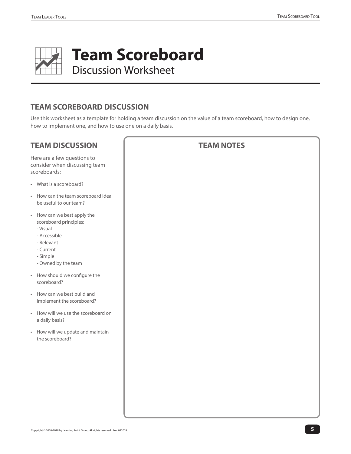

## **Team Scoreboard**

Discussion Worksheet

#### **TEAM SCOREBOARD DISCUSSION**

Use this worksheet as a template for holding a team discussion on the value of a team scoreboard, how to design one, how to implement one, and how to use one on a daily basis.

| <b>TEAM DISCUSSION</b>                                                                                                                          | <b>TEAM NOTES</b> |
|-------------------------------------------------------------------------------------------------------------------------------------------------|-------------------|
| Here are a few questions to<br>consider when discussing team<br>scoreboards:                                                                    |                   |
| • What is a scoreboard?                                                                                                                         |                   |
| • How can the team scoreboard idea<br>be useful to our team?                                                                                    |                   |
| • How can we best apply the<br>scoreboard principles:<br>- Visual<br>- Accessible<br>- Relevant<br>- Current<br>- Simple<br>- Owned by the team |                   |
| • How should we configure the<br>scoreboard?                                                                                                    |                   |
| • How can we best build and<br>implement the scoreboard?                                                                                        |                   |
| • How will we use the scoreboard on<br>a daily basis?                                                                                           |                   |
| • How will we update and maintain<br>the scoreboard?                                                                                            |                   |
|                                                                                                                                                 |                   |